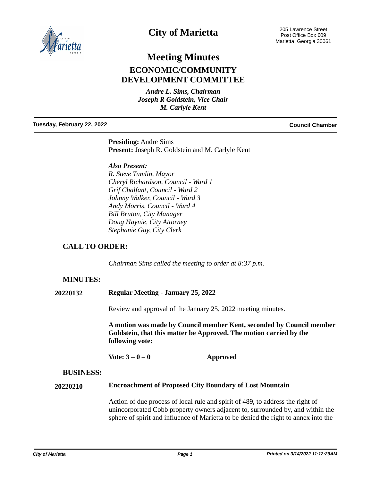

# **City of Marietta**

205 Lawrence Street Post Office Box 609 Marietta, Georgia 30061

# **Meeting Minutes ECONOMIC/COMMUNITY DEVELOPMENT COMMITTEE**

*Andre L. Sims, Chairman Joseph R Goldstein, Vice Chair M. Carlyle Kent*

#### **Tuesday, February 22, 2022 Council Chamber**

**Presiding:** Andre Sims **Present:** Joseph R. Goldstein and M. Carlyle Kent

### *Also Present:*

*R. Steve Tumlin, Mayor Cheryl Richardson, Council - Ward 1 Grif Chalfant, Council - Ward 2 Johnny Walker, Council - Ward 3 Andy Morris, Council - Ward 4 Bill Bruton, City Manager Doug Haynie, City Attorney Stephanie Guy, City Clerk*

# **CALL TO ORDER:**

*Chairman Sims called the meeting to order at 8:37 p.m.*

# **MINUTES:**

**20220132 Regular Meeting - January 25, 2022**

Review and approval of the January 25, 2022 meeting minutes.

**A motion was made by Council member Kent, seconded by Council member Goldstein, that this matter be Approved. The motion carried by the following vote:**

**Vote: 3 – 0 – 0 Approved**

### **BUSINESS:**

#### **Encroachment of Proposed City Boundary of Lost Mountain 20220210**

Action of due process of local rule and spirit of 489, to address the right of unincorporated Cobb property owners adjacent to, surrounded by, and within the sphere of spirit and influence of Marietta to be denied the right to annex into the